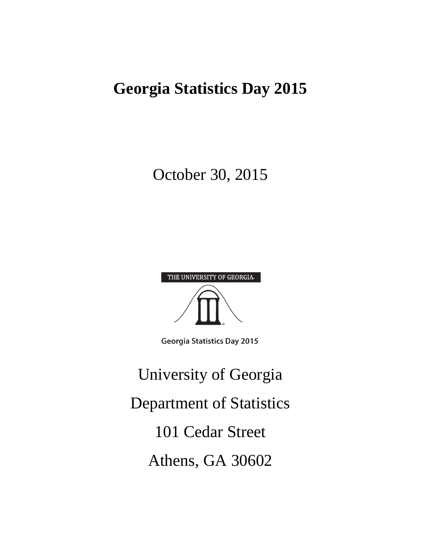# **Georgia Statistics Day 2015**

# October 30, 2015

| THE UNIVERSITY OF GEORGIA. |
|----------------------------|
|                            |
|                            |
|                            |
|                            |

**Georgia Statistics Day 2015** 

University of Georgia Department of Statistics 101 Cedar Street Athens, GA 30602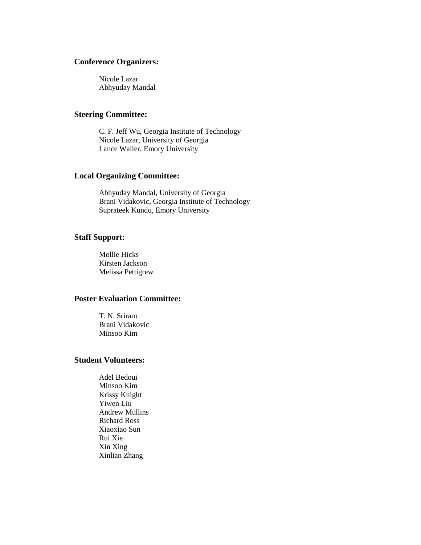#### **Conference Organizers:**

Nicole Lazar Abhyuday Mandal

#### **Steering Committee:**

C. F. Jeff Wu, Georgia Institute of Technology Nicole Lazar, University of Georgia Lance Waller, Emory University

#### **Local Organizing Committee:**

Abhyuday Mandal, University of Georgia Brani Vidakovic, Georgia Institute of Technology Suprateek Kundu, Emory University

#### **Staff Support:**

Mollie Hicks Kirsten Jackson Melissa Pettigrew

#### **Poster Evaluation Committee:**

T. N. Sriram Brani Vidakovic Minsoo Kim

### **Student Volunteers:**

Adel Bedoui Minsoo Kim Krissy Knight Yiwen Liu Andrew Mullins Richard Ross Xiaoxiao Sun Rui Xie Xin Xing Xinlian Zhang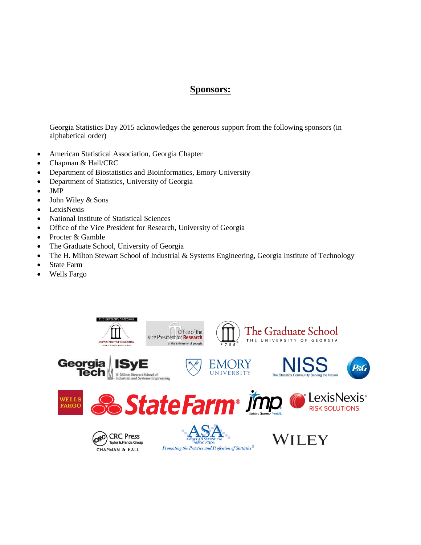### **Sponsors:**

Georgia Statistics Day 2015 acknowledges the generous support from the following sponsors (in alphabetical order)

- American Statistical Association, Georgia Chapter
- Chapman & Hall/CRC
- Department of Biostatistics and Bioinformatics, Emory University
- Department of Statistics, University of Georgia
- JMP
- John Wiley & Sons
- LexisNexis
- National Institute of Statistical Sciences
- Office of the Vice President for Research, University of Georgia
- Procter & Gamble
- The Graduate School, University of Georgia
- The H. Milton Stewart School of Industrial & Systems Engineering, Georgia Institute of Technology
- State Farm
- Wells Fargo

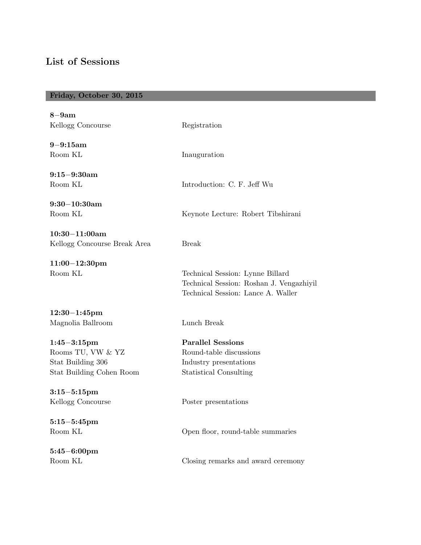# **List of Sessions**

# **Friday, October 30, 2015**

| $8-9am$<br>Kellogg Concourse                                                           | Registration                                                                                                       |
|----------------------------------------------------------------------------------------|--------------------------------------------------------------------------------------------------------------------|
| $9 - 9:15am$<br>Room KL                                                                | Inauguration                                                                                                       |
| $9:15-9:30am$<br>Room KL                                                               | Introduction: C. F. Jeff Wu                                                                                        |
| $9:30-10:30am$<br>Room KL                                                              | Keynote Lecture: Robert Tibshirani                                                                                 |
| $10:30 - 11:00am$<br>Kellogg Concourse Break Area                                      | <b>Break</b>                                                                                                       |
| $11:00-12:30$ pm<br>Room KL                                                            | Technical Session: Lynne Billard<br>Technical Session: Roshan J. Vengazhiyil<br>Technical Session: Lance A. Waller |
| $12:30-1:45$ pm<br>Magnolia Ballroom                                                   | Lunch Break                                                                                                        |
| $1:45 - 3:15$ pm<br>Rooms TU, VW & YZ<br>Stat Building 306<br>Stat Building Cohen Room | <b>Parallel Sessions</b><br>Round-table discussions<br>Industry presentations<br><b>Statistical Consulting</b>     |
| $3:15 - 5:15$ pm<br>Kellogg Concourse                                                  | Poster presentations                                                                                               |
| $5:15 - 5:45$ pm<br>Room KL                                                            | Open floor, round-table summaries                                                                                  |
| $5:45 - 6:00 \text{pm}$<br>Room KL                                                     | Closing remarks and award ceremony                                                                                 |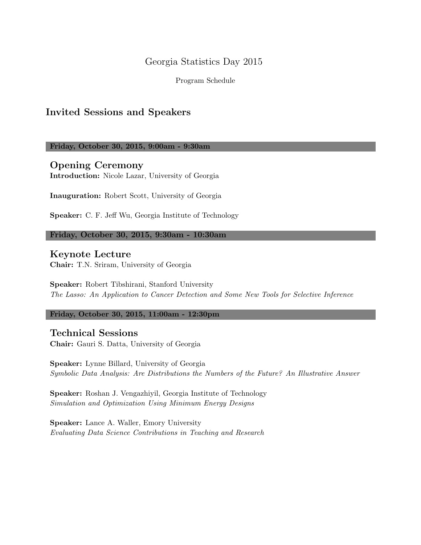# Georgia Statistics Day 2015

Program Schedule

# **Invited Sessions and Speakers**

**Friday, October 30, 2015, 9:00am - 9:30am**

**Opening Ceremony Introduction:** Nicole Lazar, University of Georgia

**Inauguration:** Robert Scott, University of Georgia

**Speaker:** C. F. Jeff Wu, Georgia Institute of Technology

**Friday, October 30, 2015, 9:30am - 10:30am**

### **Keynote Lecture**

**Chair:** T.N. Sriram, University of Georgia

**Speaker:** Robert Tibshirani, Stanford University *The Lasso: An Application to Cancer Detection and Some New Tools for Selective Inference*

**Friday, October 30, 2015, 11:00am - 12:30pm**

**Technical Sessions Chair:** Gauri S. Datta, University of Georgia

**Speaker:** Lynne Billard, University of Georgia *Symbolic Data Analysis: Are Distributions the Numbers of the Future? An Illustrative Answer*

**Speaker:** Roshan J. Vengazhiyil, Georgia Institute of Technology *Simulation and Optimization Using Minimum Energy Designs*

**Speaker:** Lance A. Waller, Emory University *Evaluating Data Science Contributions in Teaching and Research*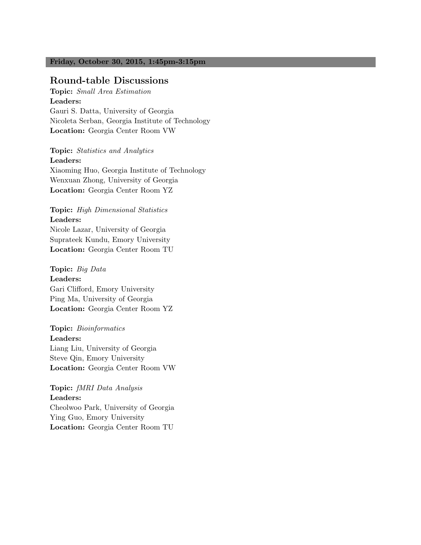#### **Friday, October 30, 2015, 1:45pm-3:15pm**

#### **Round-table Discussions**

**Topic:** *Small Area Estimation* **Leaders:** Gauri S. Datta, University of Georgia Nicoleta Serban, Georgia Institute of Technology **Location:** Georgia Center Room VW

**Topic:** *Statistics and Analytics* **Leaders:** Xiaoming Huo, Georgia Institute of Technology Wenxuan Zhong, University of Georgia **Location:** Georgia Center Room YZ

**Topic:** *High Dimensional Statistics* **Leaders:** Nicole Lazar, University of Georgia Suprateek Kundu, Emory University **Location:** Georgia Center Room TU

**Topic:** *Big Data* **Leaders:** Gari Clifford, Emory University Ping Ma, University of Georgia **Location:** Georgia Center Room YZ

**Topic:** *Bioinformatics* **Leaders:** Liang Liu, University of Georgia Steve Qin, Emory University **Location:** Georgia Center Room VW

**Topic:** *fMRI Data Analysis* **Leaders:** Cheolwoo Park, University of Georgia Ying Guo, Emory University **Location:** Georgia Center Room TU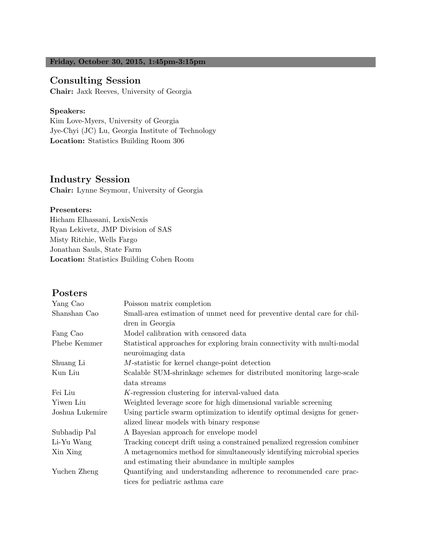#### **Friday, October 30, 2015, 1:45pm-3:15pm**

# **Consulting Session**

**Chair:** Jaxk Reeves, University of Georgia

#### **Speakers:**

Kim Love-Myers, University of Georgia Jye-Chyi (JC) Lu, Georgia Institute of Technology **Location:** Statistics Building Room 306

# **Industry Session**

**Chair:** Lynne Seymour, University of Georgia

#### **Presenters:**

Hicham Elhassani, LexisNexis Ryan Lekivetz, JMP Division of SAS Misty Ritchie, Wells Fargo Jonathan Sauls, State Farm **Location:** Statistics Building Cohen Room

# **Posters**

| Yang Cao        | Poisson matrix completion                                                |  |
|-----------------|--------------------------------------------------------------------------|--|
| Shanshan Cao    | Small-area estimation of unmet need for preventive dental care for chil- |  |
|                 | dren in Georgia                                                          |  |
| Fang Cao        | Model calibration with censored data                                     |  |
| Phebe Kemmer    | Statistical approaches for exploring brain connectivity with multi-modal |  |
|                 | neuroimaging data                                                        |  |
| Shuang Li       | M-statistic for kernel change-point detection                            |  |
| Kun Liu         | Scalable SUM-shrinkage schemes for distributed monitoring large-scale    |  |
|                 | data streams                                                             |  |
| Fei Liu         | K-regression clustering for interval-valued data                         |  |
| Yiwen Liu       | Weighted leverage score for high dimensional variable screening          |  |
| Joshua Lukemire | Using particle swarm optimization to identify optimal designs for gener- |  |
|                 | alized linear models with binary response                                |  |
| Subhadip Pal    | A Bayesian approach for envelope model                                   |  |
| Li-Yu Wang      | Tracking concept drift using a constrained penalized regression combiner |  |
| Xin Xing        | A metagenomics method for simultaneously identifying microbial species   |  |
|                 | and estimating their abundance in multiple samples                       |  |
| Yuchen Zheng    | Quantifying and understanding adherence to recommended care prac-        |  |
|                 | tices for pediatric asthma care                                          |  |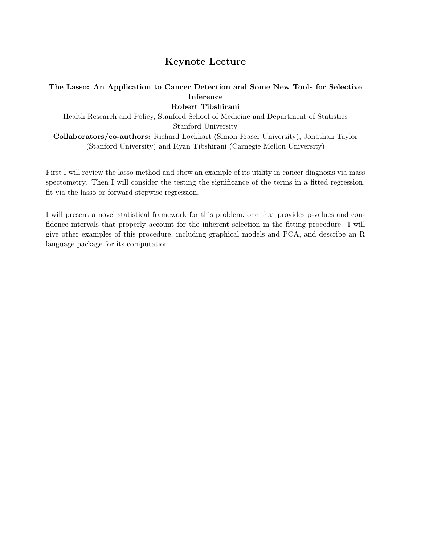# **Keynote Lecture**

# **The Lasso: An Application to Cancer Detection and Some New Tools for Selective Inference**

**Robert Tibshirani**

Health Research and Policy, Stanford School of Medicine and Department of Statistics Stanford University **Collaborators/co-authors:** Richard Lockhart (Simon Fraser University), Jonathan Taylor (Stanford University) and Ryan Tibshirani (Carnegie Mellon University)

First I will review the lasso method and show an example of its utility in cancer diagnosis via mass spectometry. Then I will consider the testing the significance of the terms in a fitted regression, fit via the lasso or forward stepwise regression.

I will present a novel statistical framework for this problem, one that provides p-values and confidence intervals that properly account for the inherent selection in the fitting procedure. I will give other examples of this procedure, including graphical models and PCA, and describe an R language package for its computation.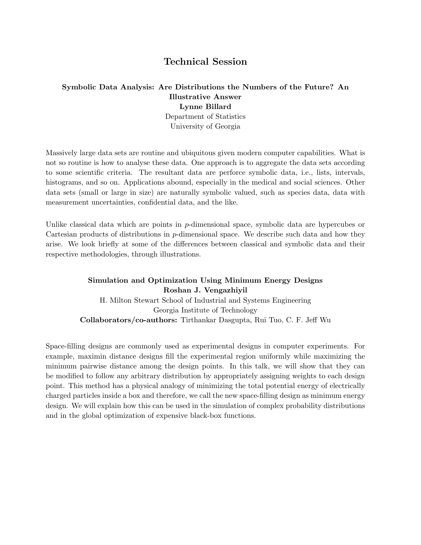# **Technical Session**

### **Symbolic Data Analysis: Are Distributions the Numbers of the Future? An Illustrative Answer Lynne Billard** Department of Statistics University of Georgia

Massively large data sets are routine and ubiquitous given modern computer capabilities. What is not so routine is how to analyse these data. One approach is to aggregate the data sets according to some scientific criteria. The resultant data are perforce symbolic data, i.e., lists, intervals, histograms, and so on. Applications abound, especially in the medical and social sciences. Other data sets (small or large in size) are naturally symbolic valued, such as species data, data with measurement uncertainties, confidential data, and the like.

Unlike classical data which are points in *p*-dimensional space, symbolic data are hypercubes or Cartesian products of distributions in *p*-dimensional space. We describe such data and how they arise. We look briefly at some of the differences between classical and symbolic data and their respective methodologies, through illustrations.

# **Simulation and Optimization Using Minimum Energy Designs Roshan J. Vengazhiyil** H. Milton Stewart School of Industrial and Systems Engineering Georgia Institute of Technology **Collaborators/co-authors:** Tirthankar Dasgupta, Rui Tuo, C. F. Jeff Wu

Space-filling designs are commonly used as experimental designs in computer experiments. For example, maximin distance designs fill the experimental region uniformly while maximizing the minimum pairwise distance among the design points. In this talk, we will show that they can be modified to follow any arbitrary distribution by appropriately assigning weights to each design point. This method has a physical analogy of minimizing the total potential energy of electrically charged particles inside a box and therefore, we call the new space-filling design as minimum energy design. We will explain how this can be used in the simulation of complex probability distributions and in the global optimization of expensive black-box functions.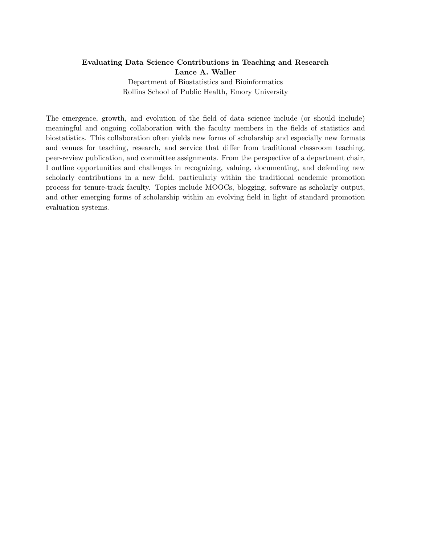### **Evaluating Data Science Contributions in Teaching and Research Lance A. Waller**

Department of Biostatistics and Bioinformatics Rollins School of Public Health, Emory University

The emergence, growth, and evolution of the field of data science include (or should include) meaningful and ongoing collaboration with the faculty members in the fields of statistics and biostatistics. This collaboration often yields new forms of scholarship and especially new formats and venues for teaching, research, and service that differ from traditional classroom teaching, peer-review publication, and committee assignments. From the perspective of a department chair, I outline opportunities and challenges in recognizing, valuing, documenting, and defending new scholarly contributions in a new field, particularly within the traditional academic promotion process for tenure-track faculty. Topics include MOOCs, blogging, software as scholarly output, and other emerging forms of scholarship within an evolving field in light of standard promotion evaluation systems.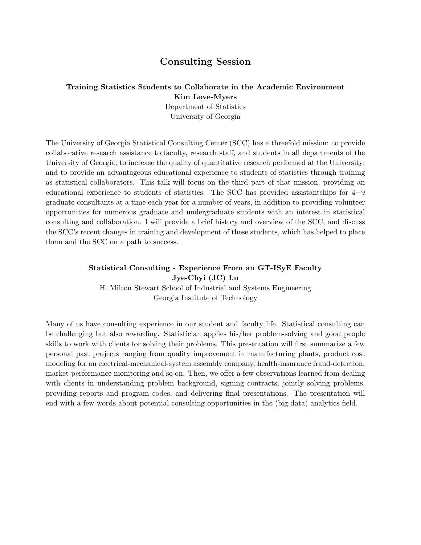## **Consulting Session**

# **Training Statistics Students to Collaborate in the Academic Environment Kim Love-Myers**

Department of Statistics University of Georgia

The University of Georgia Statistical Consulting Center (SCC) has a threefold mission: to provide collaborative research assistance to faculty, research staff, and students in all departments of the University of Georgia; to increase the quality of quantitative research performed at the University; and to provide an advantageous educational experience to students of statistics through training as statistical collaborators. This talk will focus on the third part of that mission, providing an educational experience to students of statistics. The SCC has provided assistantships for 4*−*9 graduate consultants at a time each year for a number of years, in addition to providing volunteer opportunities for numerous graduate and undergraduate students with an interest in statistical consulting and collaboration. I will provide a brief history and overview of the SCC, and discuss the SCC's recent changes in training and development of these students, which has helped to place them and the SCC on a path to success.

#### **Statistical Consulting - Experience From an GT-ISyE Faculty Jye-Chyi (JC) Lu**

H. Milton Stewart School of Industrial and Systems Engineering Georgia Institute of Technology

Many of us have consulting experience in our student and faculty life. Statistical consulting can be challenging but also rewarding. Statistician applies his/her problem-solving and good people skills to work with clients for solving their problems. This presentation will first summarize a few personal past projects ranging from quality improvement in manufacturing plants, product cost modeling for an electrical-mechanical-system assembly company, health-insurance fraud-detection, market-performance monitoring and so on. Then, we offer a few observations learned from dealing with clients in understanding problem background, signing contracts, jointly solving problems, providing reports and program codes, and delivering final presentations. The presentation will end with a few words about potential consulting opportunities in the (big-data) analytics field.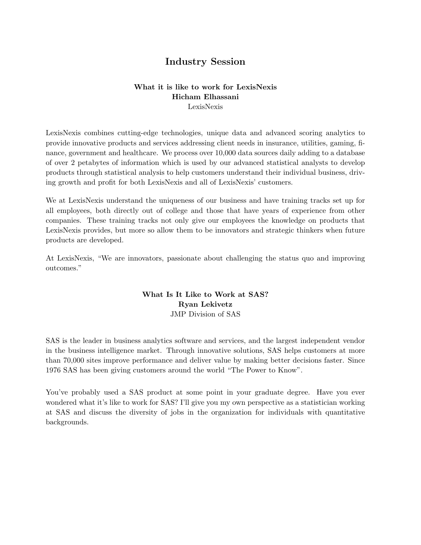# **Industry Session**

#### **What it is like to work for LexisNexis Hicham Elhassani** LexisNexis

LexisNexis combines cutting-edge technologies, unique data and advanced scoring analytics to provide innovative products and services addressing client needs in insurance, utilities, gaming, finance, government and healthcare. We process over 10,000 data sources daily adding to a database of over 2 petabytes of information which is used by our advanced statistical analysts to develop products through statistical analysis to help customers understand their individual business, driving growth and profit for both LexisNexis and all of LexisNexis' customers.

We at LexisNexis understand the uniqueness of our business and have training tracks set up for all employees, both directly out of college and those that have years of experience from other companies. These training tracks not only give our employees the knowledge on products that LexisNexis provides, but more so allow them to be innovators and strategic thinkers when future products are developed.

At LexisNexis, "We are innovators, passionate about challenging the status quo and improving outcomes."

#### **What Is It Like to Work at SAS? Ryan Lekivetz** JMP Division of SAS

SAS is the leader in business analytics software and services, and the largest independent vendor in the business intelligence market. Through innovative solutions, SAS helps customers at more than 70,000 sites improve performance and deliver value by making better decisions faster. Since 1976 SAS has been giving customers around the world "The Power to Know".

You've probably used a SAS product at some point in your graduate degree. Have you ever wondered what it's like to work for SAS? I'll give you my own perspective as a statistician working at SAS and discuss the diversity of jobs in the organization for individuals with quantitative backgrounds.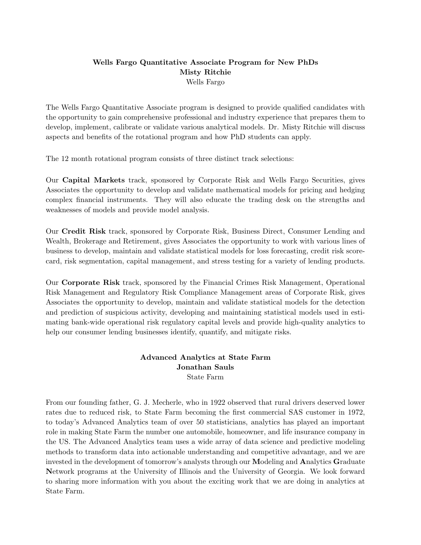#### **Wells Fargo Quantitative Associate Program for New PhDs Misty Ritchie** Wells Fargo

The Wells Fargo Quantitative Associate program is designed to provide qualified candidates with the opportunity to gain comprehensive professional and industry experience that prepares them to develop, implement, calibrate or validate various analytical models. Dr. Misty Ritchie will discuss aspects and benefits of the rotational program and how PhD students can apply.

The 12 month rotational program consists of three distinct track selections:

Our **Capital Markets** track, sponsored by Corporate Risk and Wells Fargo Securities, gives Associates the opportunity to develop and validate mathematical models for pricing and hedging complex financial instruments. They will also educate the trading desk on the strengths and weaknesses of models and provide model analysis.

Our **Credit Risk** track, sponsored by Corporate Risk, Business Direct, Consumer Lending and Wealth, Brokerage and Retirement, gives Associates the opportunity to work with various lines of business to develop, maintain and validate statistical models for loss forecasting, credit risk scorecard, risk segmentation, capital management, and stress testing for a variety of lending products.

Our **Corporate Risk** track, sponsored by the Financial Crimes Risk Management, Operational Risk Management and Regulatory Risk Compliance Management areas of Corporate Risk, gives Associates the opportunity to develop, maintain and validate statistical models for the detection and prediction of suspicious activity, developing and maintaining statistical models used in estimating bank-wide operational risk regulatory capital levels and provide high-quality analytics to help our consumer lending businesses identify, quantify, and mitigate risks.

#### **Advanced Analytics at State Farm Jonathan Sauls** State Farm

From our founding father, G. J. Mecherle, who in 1922 observed that rural drivers deserved lower rates due to reduced risk, to State Farm becoming the first commercial SAS customer in 1972, to today's Advanced Analytics team of over 50 statisticians, analytics has played an important role in making State Farm the number one automobile, homeowner, and life insurance company in the US. The Advanced Analytics team uses a wide array of data science and predictive modeling methods to transform data into actionable understanding and competitive advantage, and we are invested in the development of tomorrow's analysts through our **M**odeling and **A**nalytics **G**raduate **N**etwork programs at the University of Illinois and the University of Georgia. We look forward to sharing more information with you about the exciting work that we are doing in analytics at State Farm.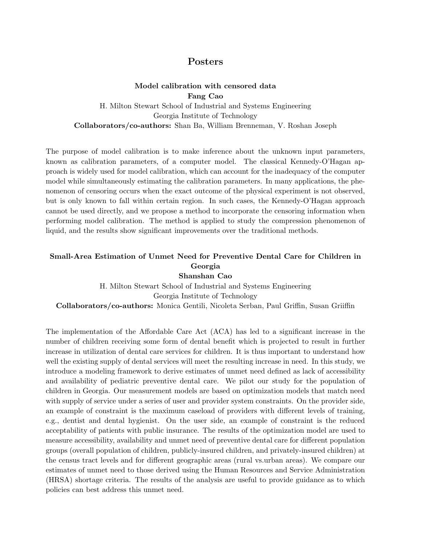# **Posters**

### **Model calibration with censored data Fang Cao** H. Milton Stewart School of Industrial and Systems Engineering Georgia Institute of Technology **Collaborators/co-authors:** Shan Ba, William Brenneman, V. Roshan Joseph

The purpose of model calibration is to make inference about the unknown input parameters, known as calibration parameters, of a computer model. The classical Kennedy-O'Hagan approach is widely used for model calibration, which can account for the inadequacy of the computer model while simultaneously estimating the calibration parameters. In many applications, the phenomenon of censoring occurs when the exact outcome of the physical experiment is not observed, but is only known to fall within certain region. In such cases, the Kennedy-O'Hagan approach cannot be used directly, and we propose a method to incorporate the censoring information when performing model calibration. The method is applied to study the compression phenomenon of liquid, and the results show significant improvements over the traditional methods.

# **Small-Area Estimation of Unmet Need for Preventive Dental Care for Children in Georgia**

**Shanshan Cao** H. Milton Stewart School of Industrial and Systems Engineering Georgia Institute of Technology **Collaborators/co-authors:** Monica Gentili, Nicoleta Serban, Paul Griffin, Susan Griiffin

The implementation of the Affordable Care Act (ACA) has led to a significant increase in the number of children receiving some form of dental benefit which is projected to result in further increase in utilization of dental care services for children. It is thus important to understand how well the existing supply of dental services will meet the resulting increase in need. In this study, we introduce a modeling framework to derive estimates of unmet need defined as lack of accessibility and availability of pediatric preventive dental care. We pilot our study for the population of children in Georgia. Our measurement models are based on optimization models that match need with supply of service under a series of user and provider system constraints. On the provider side, an example of constraint is the maximum caseload of providers with different levels of training, e.g., dentist and dental hygienist. On the user side, an example of constraint is the reduced acceptability of patients with public insurance. The results of the optimization model are used to measure accessibility, availability and unmet need of preventive dental care for different population groups (overall population of children, publicly-insured children, and privately-insured children) at the census tract levels and for different geographic areas (rural vs.urban areas). We compare our estimates of unmet need to those derived using the Human Resources and Service Administration (HRSA) shortage criteria. The results of the analysis are useful to provide guidance as to which policies can best address this unmet need.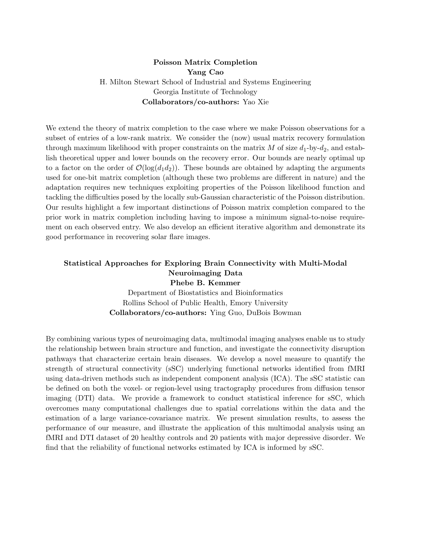#### **Poisson Matrix Completion Yang Cao** H. Milton Stewart School of Industrial and Systems Engineering Georgia Institute of Technology **Collaborators/co-authors:** Yao Xie

We extend the theory of matrix completion to the case where we make Poisson observations for a subset of entries of a low-rank matrix. We consider the (now) usual matrix recovery formulation through maximum likelihood with proper constraints on the matrix  $M$  of size  $d_1$ -by- $d_2$ , and establish theoretical upper and lower bounds on the recovery error. Our bounds are nearly optimal up to a factor on the order of  $\mathcal{O}(\log(d_1 d_2))$ . These bounds are obtained by adapting the arguments used for one-bit matrix completion (although these two problems are different in nature) and the adaptation requires new techniques exploiting properties of the Poisson likelihood function and tackling the difficulties posed by the locally sub-Gaussian characteristic of the Poisson distribution. Our results highlight a few important distinctions of Poisson matrix completion compared to the prior work in matrix completion including having to impose a minimum signal-to-noise requirement on each observed entry. We also develop an efficient iterative algorithm and demonstrate its good performance in recovering solar flare images.

#### **Statistical Approaches for Exploring Brain Connectivity with Multi-Modal Neuroimaging Data Phebe B. Kemmer**

Department of Biostatistics and Bioinformatics Rollins School of Public Health, Emory University **Collaborators/co-authors:** Ying Guo, DuBois Bowman

By combining various types of neuroimaging data, multimodal imaging analyses enable us to study the relationship between brain structure and function, and investigate the connectivity disruption pathways that characterize certain brain diseases. We develop a novel measure to quantify the strength of structural connectivity (sSC) underlying functional networks identified from fMRI using data-driven methods such as independent component analysis (ICA). The sSC statistic can be defined on both the voxel- or region-level using tractography procedures from diffusion tensor imaging (DTI) data. We provide a framework to conduct statistical inference for sSC, which overcomes many computational challenges due to spatial correlations within the data and the estimation of a large variance-covariance matrix. We present simulation results, to assess the performance of our measure, and illustrate the application of this multimodal analysis using an fMRI and DTI dataset of 20 healthy controls and 20 patients with major depressive disorder. We find that the reliability of functional networks estimated by ICA is informed by sSC.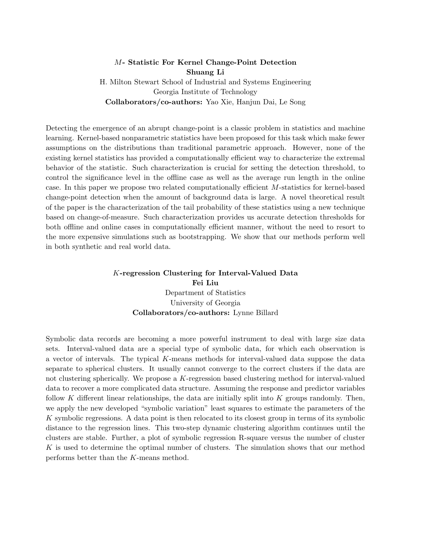#### *M***- Statistic For Kernel Change-Point Detection Shuang Li** H. Milton Stewart School of Industrial and Systems Engineering Georgia Institute of Technology **Collaborators/co-authors:** Yao Xie, Hanjun Dai, Le Song

Detecting the emergence of an abrupt change-point is a classic problem in statistics and machine learning. Kernel-based nonparametric statistics have been proposed for this task which make fewer assumptions on the distributions than traditional parametric approach. However, none of the existing kernel statistics has provided a computationally efficient way to characterize the extremal behavior of the statistic. Such characterization is crucial for setting the detection threshold, to control the significance level in the offline case as well as the average run length in the online case. In this paper we propose two related computationally efficient *M*-statistics for kernel-based change-point detection when the amount of background data is large. A novel theoretical result of the paper is the characterization of the tail probability of these statistics using a new technique based on change-of-measure. Such characterization provides us accurate detection thresholds for both offline and online cases in computationally efficient manner, without the need to resort to the more expensive simulations such as bootstrapping. We show that our methods perform well in both synthetic and real world data.

## *K***-regression Clustering for Interval-Valued Data Fei Liu** Department of Statistics University of Georgia **Collaborators/co-authors:** Lynne Billard

Symbolic data records are becoming a more powerful instrument to deal with large size data sets. Interval-valued data are a special type of symbolic data, for which each observation is a vector of intervals. The typical *K*-means methods for interval-valued data suppose the data separate to spherical clusters. It usually cannot converge to the correct clusters if the data are not clustering spherically. We propose a *K*-regression based clustering method for interval-valued data to recover a more complicated data structure. Assuming the response and predictor variables follow *K* different linear relationships, the data are initially split into *K* groups randomly. Then, we apply the new developed "symbolic variation" least squares to estimate the parameters of the *K* symbolic regressions. A data point is then relocated to its closest group in terms of its symbolic distance to the regression lines. This two-step dynamic clustering algorithm continues until the clusters are stable. Further, a plot of symbolic regression R-square versus the number of cluster *K* is used to determine the optimal number of clusters. The simulation shows that our method performs better than the *K*-means method.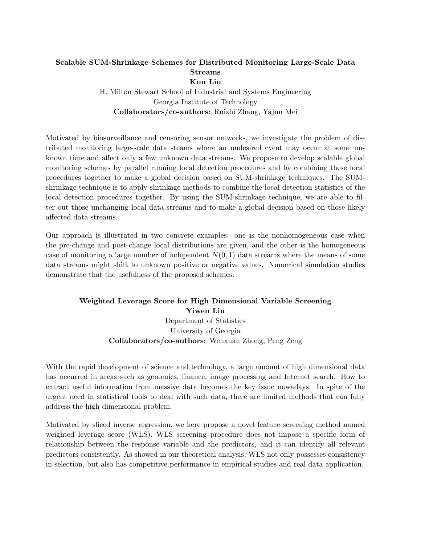# **Scalable SUM-Shrinkage Schemes for Distributed Monitoring Large-Scale Data Streams Kun Liu**

H. Milton Stewart School of Industrial and Systems Engineering Georgia Institute of Technology **Collaborators/co-authors:** Ruizhi Zhang, Yajun Mei

Motivated by biosurveillance and censoring sensor networks, we investigate the problem of distributed monitoring large-scale data steams where an undesired event may occur at some unknown time and affect only a few unknown data streams. We propose to develop scalable global monitoring schemes by parallel running local detection procedures and by combining these local procedures together to make a global decision based on SUM-shrinkage techniques. The SUMshrinkage technique is to apply shrinkage methods to combine the local detection statistics of the local detection procedures together. By using the SUM-shrinkage technique, we are able to filter out those unchanging local data streams and to make a global decision based on those likely affected data streams.

Our approach is illustrated in two concrete examples: one is the nonhomogeneous case when the pre-change and post-change local distributions are given, and the other is the homogeneous case of monitoring a large number of independent  $N(0, 1)$  data streams where the means of some data streams might shift to unknown positive or negative values. Numerical simulation studies demonstrate that the usefulness of the proposed schemes.

# **Weighted Leverage Score for High Dimensional Variable Screening Yiwen Liu** Department of Statistics University of Georgia **Collaborators/co-authors:** Wenxuan Zhong, Peng Zeng

With the rapid development of science and technology, a large amount of high dimensional data has occurred in areas such as genomics, finance, image processing and Internet search. How to extract useful information from massive data becomes the key issue nowadays. In spite of the urgent need in statistical tools to deal with such data, there are limited methods that can fully address the high dimensional problem.

Motivated by sliced inverse regression, we here propose a novel feature screening method named weighted leverage score (WLS). WLS screening procedure does not impose a specific form of relationship between the response variable and the predictors, and it can identify all relevant predictors consistently. As showed in our theoretical analysis, WLS not only possesses consistency in selection, but also has competitive performance in empirical studies and real data application.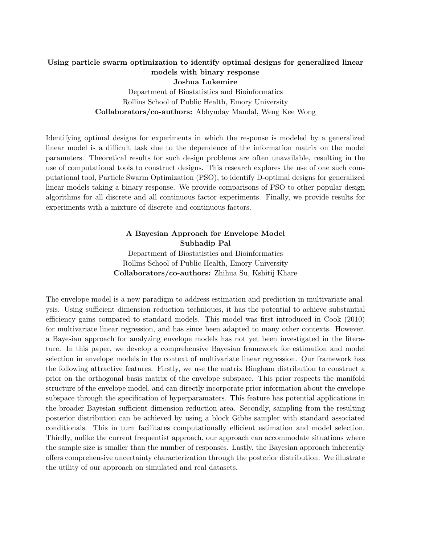### **Using particle swarm optimization to identify optimal designs for generalized linear models with binary response Joshua Lukemire** Department of Biostatistics and Bioinformatics Rollins School of Public Health, Emory University **Collaborators/co-authors:** Abhyuday Mandal, Weng Kee Wong

Identifying optimal designs for experiments in which the response is modeled by a generalized linear model is a difficult task due to the dependence of the information matrix on the model parameters. Theoretical results for such design problems are often unavailable, resulting in the use of computational tools to construct designs. This research explores the use of one such computational tool, Particle Swarm Optimization (PSO), to identify D-optimal designs for generalized linear models taking a binary response. We provide comparisons of PSO to other popular design algorithms for all discrete and all continuous factor experiments. Finally, we provide results for experiments with a mixture of discrete and continuous factors.

#### **A Bayesian Approach for Envelope Model Subhadip Pal**

Department of Biostatistics and Bioinformatics Rollins School of Public Health, Emory University **Collaborators/co-authors:** Zhihua Su, Kshitij Khare

The envelope model is a new paradigm to address estimation and prediction in multivariate analysis. Using sufficient dimension reduction techniques, it has the potential to achieve substantial efficiency gains compared to standard models. This model was first introduced in Cook (2010) for multivariate linear regression, and has since been adapted to many other contexts. However, a Bayesian approach for analyzing envelope models has not yet been investigated in the literature. In this paper, we develop a comprehensive Bayesian framework for estimation and model selection in envelope models in the context of multivariate linear regression. Our framework has the following attractive features. Firstly, we use the matrix Bingham distribution to construct a prior on the orthogonal basis matrix of the envelope subspace. This prior respects the manifold structure of the envelope model, and can directly incorporate prior information about the envelope subspace through the specification of hyperparamaters. This feature has potential applications in the broader Bayesian sufficient dimension reduction area. Secondly, sampling from the resulting posterior distribution can be achieved by using a block Gibbs sampler with standard associated conditionals. This in turn facilitates computationally efficient estimation and model selection. Thirdly, unlike the current frequentist approach, our approach can accommodate situations where the sample size is smaller than the number of responses. Lastly, the Bayesian approach inherently offers comprehensive uncertainty characterization through the posterior distribution. We illustrate the utility of our approach on simulated and real datasets.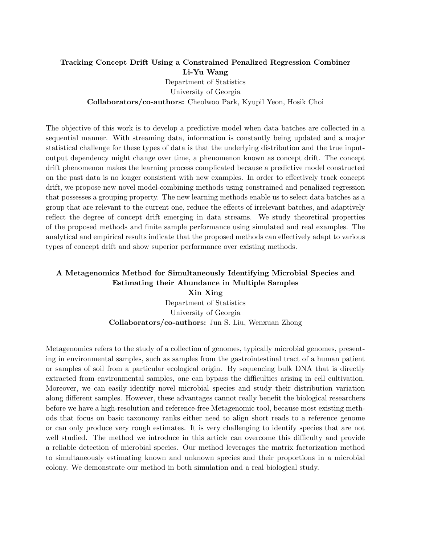### **Tracking Concept Drift Using a Constrained Penalized Regression Combiner Li-Yu Wang** Department of Statistics University of Georgia **Collaborators/co-authors:** Cheolwoo Park, Kyupil Yeon, Hosik Choi

The objective of this work is to develop a predictive model when data batches are collected in a sequential manner. With streaming data, information is constantly being updated and a major statistical challenge for these types of data is that the underlying distribution and the true inputoutput dependency might change over time, a phenomenon known as concept drift. The concept drift phenomenon makes the learning process complicated because a predictive model constructed on the past data is no longer consistent with new examples. In order to effectively track concept drift, we propose new novel model-combining methods using constrained and penalized regression that possesses a grouping property. The new learning methods enable us to select data batches as a group that are relevant to the current one, reduce the effects of irrelevant batches, and adaptively reflect the degree of concept drift emerging in data streams. We study theoretical properties of the proposed methods and finite sample performance using simulated and real examples. The analytical and empirical results indicate that the proposed methods can effectively adapt to various types of concept drift and show superior performance over existing methods.

# **A Metagenomics Method for Simultaneously Identifying Microbial Species and Estimating their Abundance in Multiple Samples**

**Xin Xing** Department of Statistics University of Georgia **Collaborators/co-authors:** Jun S. Liu, Wenxuan Zhong

Metagenomics refers to the study of a collection of genomes, typically microbial genomes, presenting in environmental samples, such as samples from the gastrointestinal tract of a human patient or samples of soil from a particular ecological origin. By sequencing bulk DNA that is directly extracted from environmental samples, one can bypass the difficulties arising in cell cultivation. Moreover, we can easily identify novel microbial species and study their distribution variation along different samples. However, these advantages cannot really benefit the biological researchers before we have a high-resolution and reference-free Metagenomic tool, because most existing methods that focus on basic taxonomy ranks either need to align short reads to a reference genome or can only produce very rough estimates. It is very challenging to identify species that are not well studied. The method we introduce in this article can overcome this difficulty and provide a reliable detection of microbial species. Our method leverages the matrix factorization method to simultaneously estimating known and unknown species and their proportions in a microbial colony. We demonstrate our method in both simulation and a real biological study.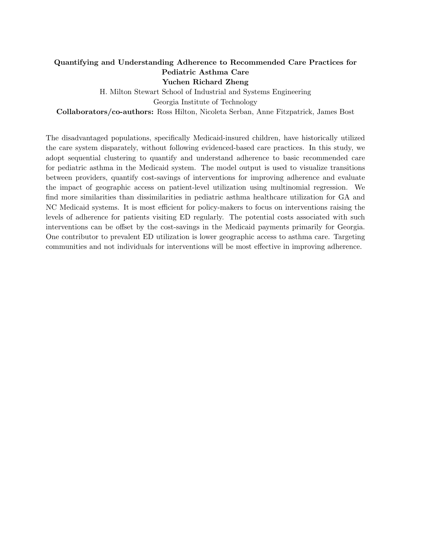### **Quantifying and Understanding Adherence to Recommended Care Practices for Pediatric Asthma Care**

**Yuchen Richard Zheng**

H. Milton Stewart School of Industrial and Systems Engineering Georgia Institute of Technology **Collaborators/co-authors:** Ross Hilton, Nicoleta Serban, Anne Fitzpatrick, James Bost

The disadvantaged populations, specifically Medicaid-insured children, have historically utilized the care system disparately, without following evidenced-based care practices. In this study, we adopt sequential clustering to quantify and understand adherence to basic recommended care for pediatric asthma in the Medicaid system. The model output is used to visualize transitions between providers, quantify cost-savings of interventions for improving adherence and evaluate the impact of geographic access on patient-level utilization using multinomial regression. We find more similarities than dissimilarities in pediatric asthma healthcare utilization for GA and NC Medicaid systems. It is most efficient for policy-makers to focus on interventions raising the levels of adherence for patients visiting ED regularly. The potential costs associated with such interventions can be offset by the cost-savings in the Medicaid payments primarily for Georgia. One contributor to prevalent ED utilization is lower geographic access to asthma care. Targeting communities and not individuals for interventions will be most effective in improving adherence.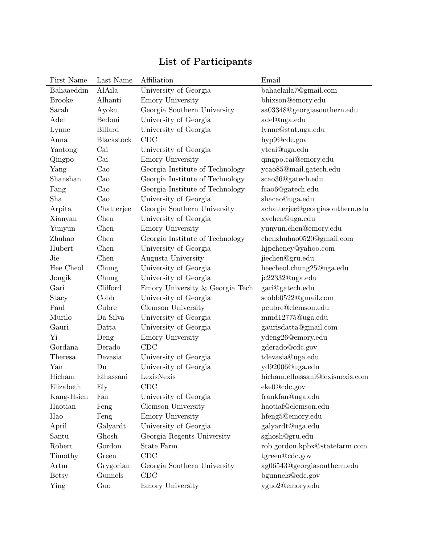# **List of Participants**

| First Name    | Last Name  | Affiliation                     | Email                           |
|---------------|------------|---------------------------------|---------------------------------|
| Bahaaeddin    | AlAila     | University of Georgia           | bahaelaila7@gmail.com           |
| <b>Brooke</b> | Alhanti    | Emory University                | bhixson@emory.edu               |
| Sarah         | Ayoku      | Georgia Southern University     | sa03348@georgiasouthern.edu     |
| Adel          | Bedoui     | University of Georgia           | adel@uga.edu                    |
| Lynne         | Billard    | University of Georgia           | lynne@stat.uga.edu              |
| Anna          | Blackstock | CDC                             | hyp9@cdc.gov                    |
| Yaotong       | Cai        | University of Georgia           | ytcai@uga.edu                   |
| Qingpo        | Cai        | Emory University                | qingpo.cai@emory.edu            |
| Yang          | $\rm Ca$   | Georgia Institute of Technology | ycao85@mail.gatech.edu          |
| Shanshan      | $\rm Cao$  | Georgia Institute of Technology | scao36@gatech.edu               |
| Fang          | $\rm Ca$   | Georgia Institute of Technology | fcao6@gatech.edu                |
| Sha           | Cao        | University of Georgia           | shacao@uga.edu                  |
| Arpita        | Chatterjee | Georgia Southern University     | achatterjee@georgiasouthern.edu |
| Xianyan       | Chen       | University of Georgia           | xychen@uga.edu                  |
| Yunyun        | Chen       | Emory University                | yunyun.chen@emory.edu           |
| Zhuhao        | Chen       | Georgia Institute of Technology | chenzhuhao0520@gmail.com        |
| Hubert        | Chen       | University of Georgia           | hjpcheney@yahoo.com             |
| Jie           | Chen       | Augusta University              | jiechen@gru.edu                 |
| Hee Cheol     | Chung      | University of Georgia           | heecheol.chung25@uga.edu        |
| Jongik        | Chung      | University of Georgia           | jc22332@uga.edu                 |
| Gari          | Clifford   | Emory University & Georgia Tech | gari@gatech.edu                 |
| Stacy         | Cobb       | University of Georgia           | scobb0522@gmail.com             |
| Paul          | Cubre      | Clemson University              | pcubre@clemson.edu              |
| Murilo        | Da Silva   | University of Georgia           | mmd12775@uga.edu                |
| Gauri         | Datta      | University of Georgia           | gaurisdatta@gmail.com           |
| Yi            | Deng       | Emory University                | ydeng26@emory.edu               |
| Gordana       | Derado     | CDC                             | gderado@cdc.gov                 |
| Theresa       | Devasia    | University of Georgia           | tdevasia@uga.edu                |
| Yan           | Du         | University of Georgia           | yd92006@uga.edu                 |
| Hicham        | Elhassani  | LexisNexis                      | hicham.elhassani@lexisnexis.com |
| Elizabeth     | Ely        | CDC                             | eke0@cdc.gov                    |
| Kang-Hsien    | Fan        | University of Georgia           | frankfan@uga.edu                |
| Haotian       | Feng       | Clemson University              | haotiaf@clemson.edu             |
| Hao           | Feng       | Emory University                | hfeng5@emory.edu                |
| April         | Galyardt   | University of Georgia           | galyardt@uga.edu                |
| Santu         | Ghosh      | Georgia Regents University      | sghosh@gru.edu                  |
| Robert        | Gordon     | <b>State Farm</b>               | rob.gordon.kpbx@statefarm.com   |
| Timothy       | Green      | CDC                             | tgreen@cdc.gov                  |
| Artur         | Grygorian  | Georgia Southern University     | ag06543@georgiasouthern.edu     |
| <b>Betsy</b>  | Gunnels    | CDC                             | bgunnels@cdc.gov                |
| Ying          | Guo        | Emory University                | yguo2@emory.edu                 |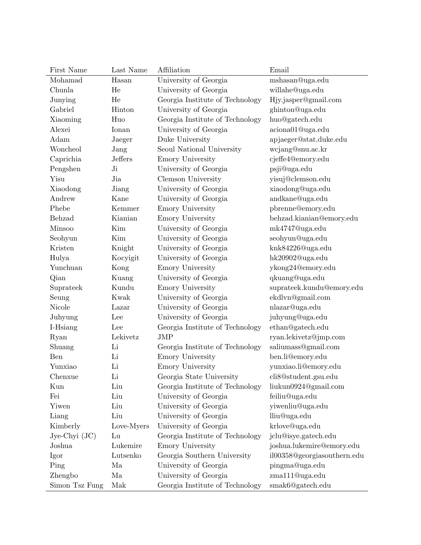| First Name        | Last Name  | Affiliation                     | Email                       |
|-------------------|------------|---------------------------------|-----------------------------|
| Mohamad           | Hasan      | University of Georgia           | mshasan@uga.edu             |
| Chunla            | He         | University of Georgia           | willahe@uga.edu             |
| Junying           | He         | Georgia Institute of Technology | Hjy.jasper@gmail.com        |
| Gabriel           | Hinton     | University of Georgia           | ghinton@uga.edu             |
| Xiaoming          | Huo        | Georgia Institute of Technology | huo@gatech.edu              |
| Alexei            | Ionan      | University of Georgia           | aciona01@uga.edu            |
| Adam              | Jaeger     | Duke University                 | apjaeger@stat.duke.edu      |
| Woncheol          | Jang       | Seoul National University       | wcjang@snu.ac.kr            |
| Caprichia         | Jeffers    | Emory University                | cjeffe4@emory.edu           |
| Pengshen          | Ji         | University of Georgia           | psji@uga.edu                |
| Yisu              | Jia        | Clemson University              | yisuj@clemson.edu           |
| Xiaodong          | Jiang      | University of Georgia           | xiaodong@uga.edu            |
| Andrew            | Kane       | University of Georgia           | andkane@uga.edu             |
| Phebe             | Kemmer     | <b>Emory University</b>         | pbrenne@emory.edu           |
| Behzad            | Kianian    | Emory University                | behzad.kianian@emory.edu    |
| Minsoo            | Kim        | University of Georgia           | mk4747@uga.edu              |
| Seohyun           | Kim        | University of Georgia           | seohyun@uga.edu             |
| Kristen           | Knight     | University of Georgia           | knk84226@uga.edu            |
| Hulya             | Kocyigit   | University of Georgia           | hk20902@uga.edu             |
| Yunchuan          | Kong       | Emory University                | ykong24@emory.edu           |
| Qian              | Kuang      | University of Georgia           | qkuang@uga.edu              |
| Suprateek         | Kundu      | Emory University                | suprateek.kundu@emory.edu   |
| Seung             | Kwak       | University of Georgia           | ekdlvn@gmail.com            |
| Nicole            | Lazar      | University of Georgia           | nlazar@uga.edu              |
| Juhyung           | Lee        | University of Georgia           | juhyung@uga.edu             |
| I-Hsiang          | Lee        | Georgia Institute of Technology | ethan@gatech.edu            |
| Ryan              | Lekivetz   | <b>JMP</b>                      | ryan.lekivetz@jmp.com       |
| Shuang            | Li         | Georgia Institute of Technology | saliumass@gmail.com         |
| Ben               | Li         | Emory University                | ben.li@emory.edu            |
| Yunxiao           | Li         | Emory University                | yunxiao.li@emory.edu        |
| Chenxue           | Li         | Georgia State University        | cli8@student.gsu.edu        |
| Kun               | Liu        | Georgia Institute of Technology | liukun0924@gmail.com        |
| Fei               | Liu        | University of Georgia           | feiliu@uga.edu              |
| Yiwen             | Liu        | University of Georgia           | yiwenliu@uga.edu            |
| Liang             | Liu        | University of Georgia           | lliu@uga.edu                |
| Kimberly          | Love-Myers | University of Georgia           | krlove@uga.edu              |
| $Jye-Chyi$ $(JC)$ | Lu         | Georgia Institute of Technology | jclu@isye.gatech.edu        |
| Joshua            | Lukemire   | Emory University                | joshua.lukemire@emory.edu   |
| Igor              | Lutsenko   | Georgia Southern University     | il00358@georgiasouthern.edu |
| Ping              | Ma         | University of Georgia           | pingma@uga.edu              |
| Zhengbo           | Ma         | University of Georgia           | zma111@uga.edu              |
| Simon Tsz Fung    | Mak        | Georgia Institute of Technology | smak6@gatech.edu            |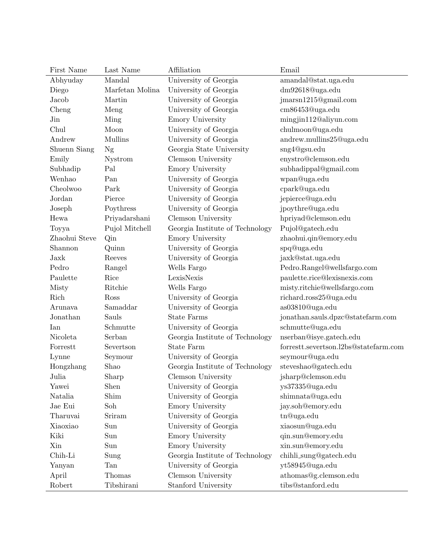| First Name    | Last Name       | Affiliation                     | Email                                 |
|---------------|-----------------|---------------------------------|---------------------------------------|
| Abhyuday      | Mandal          | University of Georgia           | amandal@stat.uga.edu                  |
| Diego         | Marfetan Molina | University of Georgia           | dm92618@uga.edu                       |
| Jacob         | Martin          | University of Georgia           | jmarsn1215@gmail.com                  |
| Cheng         | Meng            | University of Georgia           | cm86453@uga.edu                       |
| Jin           | Ming            | Emory University                | mingjin112@aliyun.com                 |
| Chul          | Moon            | University of Georgia           | chulmoon@uga.edu                      |
| Andrew        | <b>Mullins</b>  | University of Georgia           | andrew.mullins25@uga.edu              |
| Shuenn Siang  | Ng              | Georgia State University        | sng4@gsu.edu                          |
| Emily         | Nystrom         | Clemson University              | enystro@clemson.edu                   |
| Subhadip      | Pal             | Emory University                | subhadippal@gmail.com                 |
| Wenhao        | Pan             | University of Georgia           | wpan@uga.edu                          |
| Cheolwoo      | Park            | University of Georgia           | cpark@uga.edu                         |
| Jordan        | Pierce          | University of Georgia           | jepierce@uga.edu                      |
| Joseph        | Poythress       | University of Georgia           | jpoythre@uga.edu                      |
| Hewa          | Priyadarshani   | Clemson University              | hpriyad@clemson.edu                   |
| Toyya         | Pujol Mitchell  | Georgia Institute of Technology | Pujol@gatech.edu                      |
| Zhaohui Steve | Qin             | Emory University                | zhaohui.qin@emory.edu                 |
| Shannon       | Quinn           | University of Georgia           | spq@uga.edu                           |
| Jaxk          | Reeves          | University of Georgia           | jaxk@stat.uga.edu                     |
| Pedro         | Rangel          | Wells Fargo                     | Pedro.Rangel@wellsfargo.com           |
| Paulette      | Rice            | LexisNexis                      | paulette.rice@lexisnexis.com          |
| Misty         | Ritchie         | Wells Fargo                     | misty.ritchie@wellsfargo.com          |
| Rich          | Ross            | University of Georgia           | richard.ross25@uga.edu                |
| Arunava       | Samaddar        | University of Georgia           | as03810@uga.edu                       |
| Jonathan      | Sauls           | <b>State Farms</b>              | jonathan.sauls.dpzc@statefarm.com     |
| Ian           | Schmutte        | University of Georgia           | schmutte@uga.edu                      |
| Nicoleta      | Serban          | Georgia Institute of Technology | nserban@isye.gatech.edu               |
| Forrestt      | Severtson       | <b>State Farm</b>               | forrestt.severtson.l2bs@statefarm.com |
| Lynne         | Seymour         | University of Georgia           | seymour@uga.edu                       |
| Hongzhang     | Shao            | Georgia Institute of Technology | steveshao@gatech.edu                  |
| Julia         | Sharp           | Clemson University              | jsharp@clemson.edu                    |
| Yawei         | Shen            | University of Georgia           | ys37335@uga.edu                       |
| Natalia       | Shim            | University of Georgia           | shimnata@uga.edu                      |
| Jae Eui       | Soh             | Emory University                | jay.soh@emory.edu                     |
| Tharuvai      | Sriram          | University of Georgia           | tn@uga.edu                            |
| Xiaoxiao      | Sun             | University of Georgia           | xiaosun@uga.edu                       |
| Kiki          | Sun             | Emory University                | qin.sun@emory.edu                     |
| Xin           | Sun             | Emory University                | xin.sun@emory.edu                     |
| Chih-Li       | Sung            | Georgia Institute of Technology | chihli_sung@gatech.edu                |
| Yanyan        | Tan             | University of Georgia           | yt58945@uga.edu                       |
| April         | Thomas          | Clemson University              | athomas@g.clemson.edu                 |
| Robert        | Tibshirani      | Stanford University             | tibs@stanford.edu                     |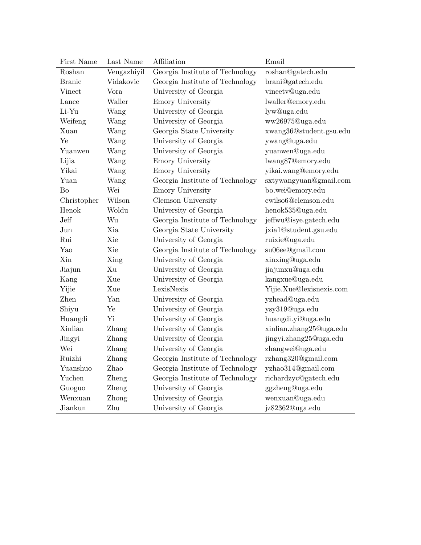| First Name    | Last Name   | Affiliation                     | Email                    |
|---------------|-------------|---------------------------------|--------------------------|
| Roshan        | Vengazhiyil | Georgia Institute of Technology | roshan@gatech.edu        |
| <b>Branic</b> | Vidakovic   | Georgia Institute of Technology | brani@gatech.edu         |
| Vineet        | Vora        | University of Georgia           | vineetv@uga.edu          |
| Lance         | Waller      | Emory University                | lwaller@emory.edu        |
| Li-Yu         | Wang        | University of Georgia           | lyw@uga.edu              |
| Weifeng       | Wang        | University of Georgia           | ww26975@uga.edu          |
| Xuan          | Wang        | Georgia State University        | xwang36@student.gsu.edu  |
| Ye            | Wang        | University of Georgia           | ywang@uga.edu            |
| Yuanwen       | Wang        | University of Georgia           | yuanwen@uga.edu          |
| Lijia         | Wang        | Emory University                | lwang87@emory.edu        |
| Yikai         | Wang        | Emory University                | yikai.wang@emory.edu     |
| Yuan          | Wang        | Georgia Institute of Technology | sxtywangyuan@gmail.com   |
| Bo            | Wei         | Emory University                | bo.wei@emory.edu         |
| Christopher   | Wilson      | Clemson University              | cwilso6@clemson.edu      |
| Henok         | Woldu       | University of Georgia           | henok535@uga.edu         |
| Jeff          | Wu          | Georgia Institute of Technology | jeffwu@isye.gatech.edu   |
| Jun           | Xia         | Georgia State University        | jxia1@student.gsu.edu    |
| Rui           | Xie         | University of Georgia           | ruixie@uga.edu           |
| Yao           | Xie         | Georgia Institute of Technology | su06ee@gmail.com         |
| Xin           | Xing        | University of Georgia           | xinxing@uga.edu          |
| Jiajun        | Xu          | University of Georgia           | jiajunxu@uga.edu         |
| Kang          | Xue         | University of Georgia           | kangxue@uga.edu          |
| Yijie         | Xue         | LexisNexis                      | Yijie.Xue@lexisnexis.com |
| Zhen          | Yan         | University of Georgia           | yzhead@uga.edu           |
| Shiyu         | Ye          | University of Georgia           | ysy319@uga.edu           |
| Huangdi       | Yi          | University of Georgia           | huangdi.yi@uga.edu       |
| Xinlian       | Zhang       | University of Georgia           | xinlian.zhang25@uga.edu  |
| Jingyi        | Zhang       | University of Georgia           | jingyi.zhang25@uga.edu   |
| Wei           | Zhang       | University of Georgia           | zhangwei@uga.edu         |
| Ruizhi        | Zhang       | Georgia Institute of Technology | rzhang320@gmail.com      |
| Yuanshuo      | Zhao        | Georgia Institute of Technology | yzhao314@gmail.com       |
| Yuchen        | Zheng       | Georgia Institute of Technology | richardzyc@gatech.edu    |
| Guoguo        | Zheng       | University of Georgia           | ggzheng@uga.edu          |
| Wenxuan       | Zhong       | University of Georgia           | wenxuan@uga.edu          |
| Jiankun       | Zhu         | University of Georgia           | jz82362@uga.edu          |